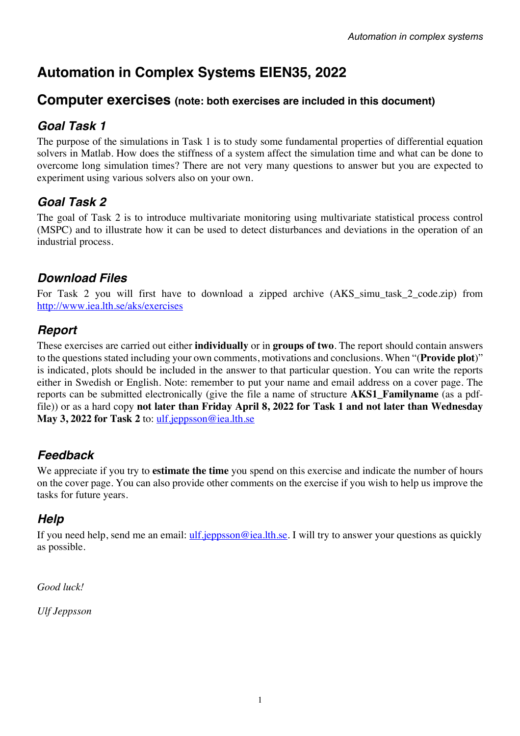# **Automation in Complex Systems EIEN35, 2022**

## **Computer exercises (note: both exercises are included in this document)**

## *Goal Task 1*

The purpose of the simulations in Task 1 is to study some fundamental properties of differential equation solvers in Matlab. How does the stiffness of a system affect the simulation time and what can be done to overcome long simulation times? There are not very many questions to answer but you are expected to experiment using various solvers also on your own.

## *Goal Task 2*

The goal of Task 2 is to introduce multivariate monitoring using multivariate statistical process control (MSPC) and to illustrate how it can be used to detect disturbances and deviations in the operation of an industrial process.

## *Download Files*

For Task 2 you will first have to download a zipped archive (AKS\_simu\_task\_2\_code.zip) from http://www.iea.lth.se/aks/exercises

## *Report*

These exercises are carried out either **individually** or in **groups of two**. The report should contain answers to the questions stated including your own comments, motivations and conclusions. When "(**Provide plot**)" is indicated, plots should be included in the answer to that particular question. You can write the reports either in Swedish or English. Note: remember to put your name and email address on a cover page. The reports can be submitted electronically (give the file a name of structure **AKS1\_Familyname** (as a pdffile)) or as a hard copy **not later than Friday April 8, 2022 for Task 1 and not later than Wednesday May 3, 2022 for Task 2** to: ulf.jeppsson@iea.lth.se

## *Feedback*

We appreciate if you try to **estimate the time** you spend on this exercise and indicate the number of hours on the cover page. You can also provide other comments on the exercise if you wish to help us improve the tasks for future years.

## *Help*

If you need help, send me an email: ulf.jeppsson@iea.lth.se. I will try to answer your questions as quickly as possible.

*Good luck!*

*Ulf Jeppsson*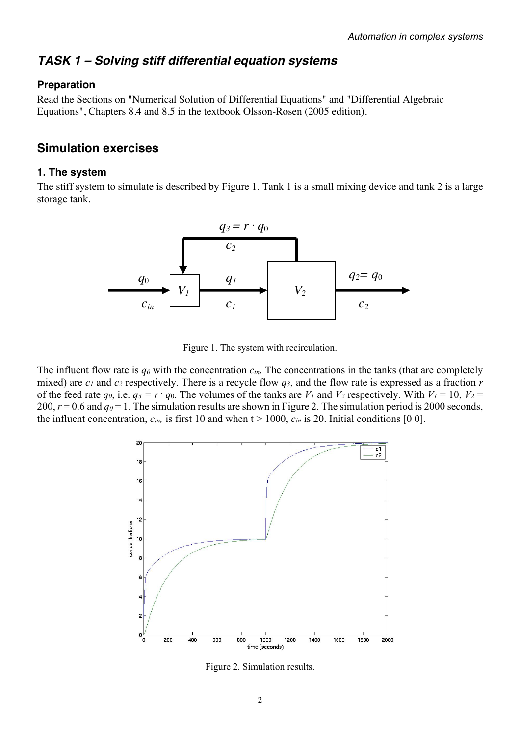## *TASK 1 – Solving stiff differential equation systems*

### **Preparation**

Read the Sections on "Numerical Solution of Differential Equations" and "Differential Algebraic Equations", Chapters 8.4 and 8.5 in the textbook Olsson-Rosen (2005 edition).

## **Simulation exercises**

### **1. The system**

The stiff system to simulate is described by Figure 1. Tank 1 is a small mixing device and tank 2 is a large storage tank.



Figure 1. The system with recirculation.

The influent flow rate is *q0* with the concentration *cin*. The concentrations in the tanks (that are completely mixed) are *c1* and *c2* respectively. There is a recycle flow *q3*, and the flow rate is expressed as a fraction *r*  of the feed rate  $q_0$ , i.e.  $q_3 = r \cdot q_0$ . The volumes of the tanks are  $V_1$  and  $V_2$  respectively. With  $V_1 = 10$ ,  $V_2 =$ 200,  $r = 0.6$  and  $q_0 = 1$ . The simulation results are shown in Figure 2. The simulation period is 2000 seconds, the influent concentration,  $c_{in}$ , is first 10 and when  $t > 1000$ ,  $c_{in}$  is 20. Initial conditions [0 0].



Figure 2. Simulation results.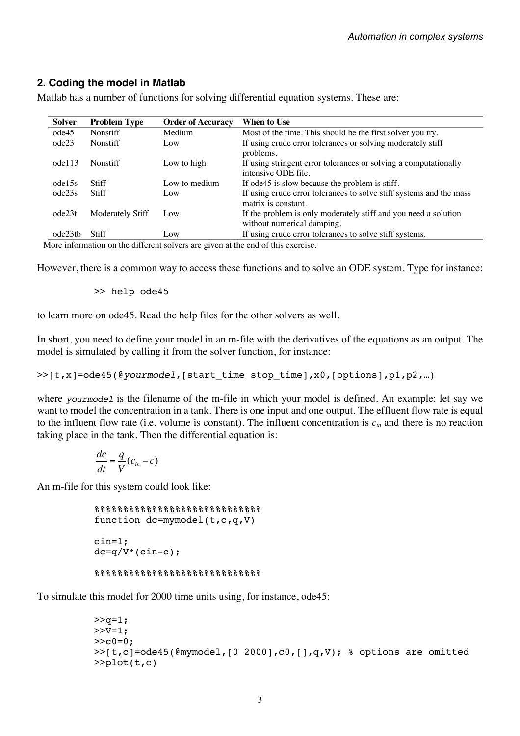## **2. Coding the model in Matlab**

| Solver  | <b>Problem Type</b> | <b>Order of Accuracy</b> | When to Use                                                         |
|---------|---------------------|--------------------------|---------------------------------------------------------------------|
| ode45   | <b>Nonstiff</b>     | Medium                   | Most of the time. This should be the first solver you try.          |
| ode23   | Nonstiff            | Low                      | If using crude error tolerances or solving moderately stiff         |
|         |                     |                          | problems.                                                           |
| ode113  | <b>Nonstiff</b>     | Low to high              | If using stringent error tolerances or solving a computationally    |
|         |                     |                          | intensive ODE file.                                                 |
| ode15s  | Stiff               | Low to medium            | If ode45 is slow because the problem is stiff.                      |
| ode23s  | Stiff               | Low                      | If using crude error tolerances to solve stiff systems and the mass |
|         |                     |                          | matrix is constant.                                                 |
| ode23t  | Moderately Stiff    | Low                      | If the problem is only moderately stiff and you need a solution     |
|         |                     |                          | without numerical damping.                                          |
| ode23tb | Stiff               | Low                      | If using crude error tolerances to solve stiff systems.             |

Matlab has a number of functions for solving differential equation systems. These are:

More information on the different solvers are given at the end of this exercise.

However, there is a common way to access these functions and to solve an ODE system. Type for instance:

>> help ode45

to learn more on ode45. Read the help files for the other solvers as well.

In short, you need to define your model in an m-file with the derivatives of the equations as an output. The model is simulated by calling it from the solver function, for instance:

>>[t,x]=ode45(@*yourmodel*,[start\_time stop\_time],x0,[options],p1,p2,…)

where *yourmodel* is the filename of the m-file in which your model is defined. An example: let say we want to model the concentration in a tank. There is one input and one output. The effluent flow rate is equal to the influent flow rate (i.e. volume is constant). The influent concentration is *cin* and there is no reaction taking place in the tank. Then the differential equation is:

$$
\frac{dc}{dt} = \frac{q}{V}(c_{in} - c)
$$

An m-file for this system could look like:

```
888888888888888888888function dc=mymodel(t,c,q,V)cin=1;
dc=q/V*(cin-c);%%%%%%%%%%%%%%%%%%%%%%%%%%%%%%%%%%%%
```
To simulate this model for 2000 time units using, for instance, ode45:

```
>>q=1;>>V=1;>>c0=0;>>[t,c]=ode45(@mymodel,[0 2000],c0,[],q,V); % options are omitted
>>plot(t,c)
```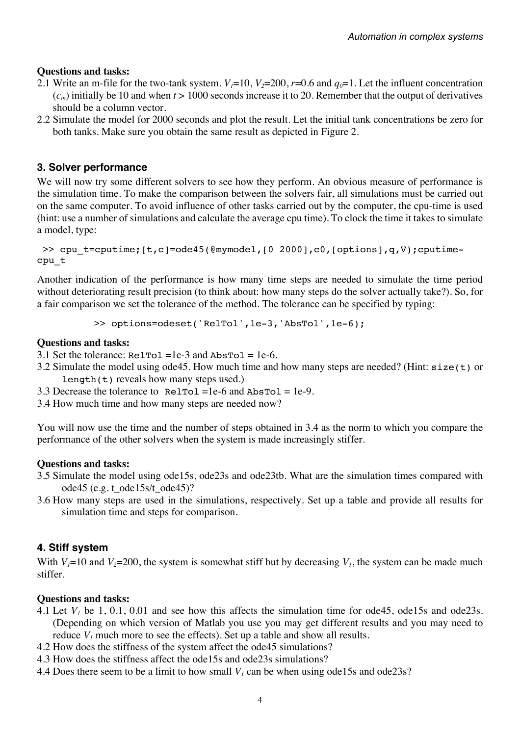### **Questions and tasks:**

- 2.1 Write an m-file for the two-tank system.  $V_1=10$ ,  $V_2=200$ ,  $r=0.6$  and  $q_0=1$ . Let the influent concentration  $(c_{in})$  initially be 10 and when  $t > 1000$  seconds increase it to 20. Remember that the output of derivatives should be a column vector.
- 2.2 Simulate the model for 2000 seconds and plot the result. Let the initial tank concentrations be zero for both tanks. Make sure you obtain the same result as depicted in Figure 2.

### **3. Solver performance**

We will now try some different solvers to see how they perform. An obvious measure of performance is the simulation time. To make the comparison between the solvers fair, all simulations must be carried out on the same computer. To avoid influence of other tasks carried out by the computer, the cpu-time is used (hint: use a number of simulations and calculate the average cpu time). To clock the time it takes to simulate a model, type:

>> cpu t=cputime; [t,c]=ode45(@mymodel, [0 2000],c0, [options],q,V);cputimecpu\_t

Another indication of the performance is how many time steps are needed to simulate the time period without deteriorating result precision (to think about: how many steps do the solver actually take?). So, for a fair comparison we set the tolerance of the method. The tolerance can be specified by typing:

>> options=odeset('RelTol',1e-3,'AbsTol',1e-6);

### **Questions and tasks:**

- 3.1 Set the tolerance:  $\text{ReLU} = 1e-3$  and  $\text{Abs} = 1e-6$ .
- 3.2 Simulate the model using ode45. How much time and how many steps are needed? (Hint: size(t) or length(t) reveals how many steps used.)

3.3 Decrease the tolerance to  $\text{ReLU} = 1e-6$  and  $\text{Abs} \text{tol} = 1e-9$ .

3.4 How much time and how many steps are needed now?

You will now use the time and the number of steps obtained in 3.4 as the norm to which you compare the performance of the other solvers when the system is made increasingly stiffer.

### **Questions and tasks:**

- 3.5 Simulate the model using ode15s, ode23s and ode23tb. What are the simulation times compared with ode45 (e.g. t\_ode15s/t\_ode45)?
- 3.6 How many steps are used in the simulations, respectively. Set up a table and provide all results for simulation time and steps for comparison.

## **4. Stiff system**

With  $V_1=10$  and  $V_2=200$ , the system is somewhat stiff but by decreasing  $V_1$ , the system can be made much stiffer.

### **Questions and tasks:**

- 4.1 Let  $V_1$  be 1, 0.1, 0.01 and see how this affects the simulation time for ode45, ode15s and ode23s. (Depending on which version of Matlab you use you may get different results and you may need to reduce  $V_1$  much more to see the effects). Set up a table and show all results.
- 4.2 How does the stiffness of the system affect the ode45 simulations?
- 4.3 How does the stiffness affect the ode15s and ode23s simulations?
- 4.4 Does there seem to be a limit to how small  $V_l$  can be when using ode15s and ode23s?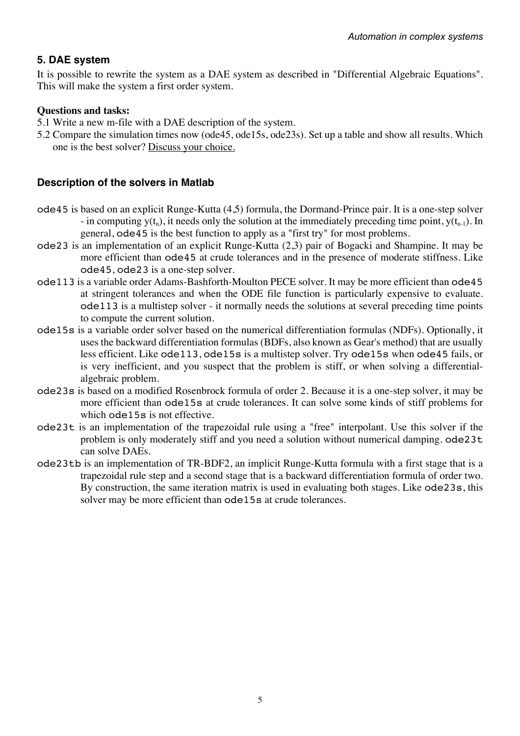## **5. DAE system**

It is possible to rewrite the system as a DAE system as described in "Differential Algebraic Equations". This will make the system a first order system.

### **Questions and tasks:**

- 5.1 Write a new m-file with a DAE description of the system.
- 5.2 Compare the simulation times now (ode45, ode15s, ode23s). Set up a table and show all results. Which one is the best solver? Discuss your choice.

### **Description of the solvers in Matlab**

- ode45 is based on an explicit Runge-Kutta (4,5) formula, the Dormand-Prince pair. It is a one-step solver - in computing  $y(t_n)$ , it needs only the solution at the immediately preceding time point,  $y(t_{n-1})$ . In general, ode45 is the best function to apply as a "first try" for most problems.
- ode23 is an implementation of an explicit Runge-Kutta (2,3) pair of Bogacki and Shampine. It may be more efficient than ode45 at crude tolerances and in the presence of moderate stiffness. Like ode45, ode23 is a one-step solver.
- ode113 is a variable order Adams-Bashforth-Moulton PECE solver. It may be more efficient than ode45 at stringent tolerances and when the ODE file function is particularly expensive to evaluate. ode113 is a multistep solver - it normally needs the solutions at several preceding time points to compute the current solution.
- ode15s is a variable order solver based on the numerical differentiation formulas (NDFs). Optionally, it uses the backward differentiation formulas (BDFs, also known as Gear's method) that are usually less efficient. Like ode113, ode15s is a multistep solver. Try ode15s when ode45 fails, or is very inefficient, and you suspect that the problem is stiff, or when solving a differentialalgebraic problem.
- ode23s is based on a modified Rosenbrock formula of order 2. Because it is a one-step solver, it may be more efficient than ode15s at crude tolerances. It can solve some kinds of stiff problems for which ode15s is not effective.
- ode23t is an implementation of the trapezoidal rule using a "free" interpolant. Use this solver if the problem is only moderately stiff and you need a solution without numerical damping. ode23t can solve DAEs.
- ode23tb is an implementation of TR-BDF2, an implicit Runge-Kutta formula with a first stage that is a trapezoidal rule step and a second stage that is a backward differentiation formula of order two. By construction, the same iteration matrix is used in evaluating both stages. Like ode23s, this solver may be more efficient than  $ode15s$  at crude tolerances.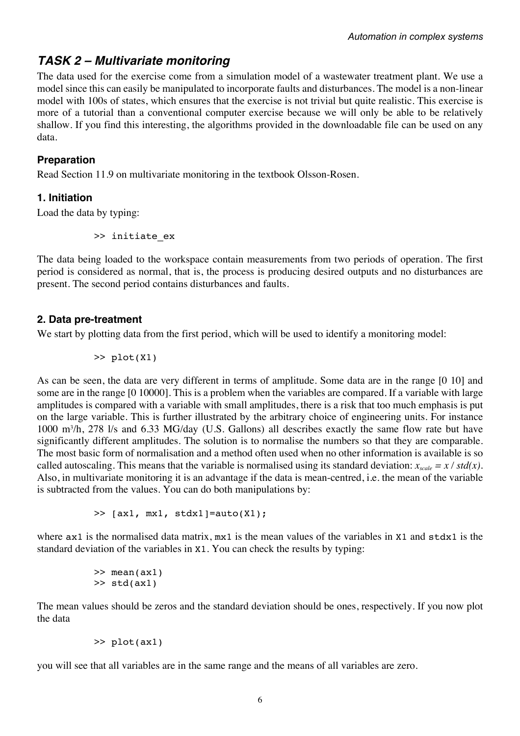## *TASK 2 – Multivariate monitoring*

The data used for the exercise come from a simulation model of a wastewater treatment plant. We use a model since this can easily be manipulated to incorporate faults and disturbances. The model is a non-linear model with 100s of states, which ensures that the exercise is not trivial but quite realistic. This exercise is more of a tutorial than a conventional computer exercise because we will only be able to be relatively shallow. If you find this interesting, the algorithms provided in the downloadable file can be used on any data.

## **Preparation**

Read Section 11.9 on multivariate monitoring in the textbook Olsson-Rosen.

## **1. Initiation**

Load the data by typing:

>> initiate\_ex

The data being loaded to the workspace contain measurements from two periods of operation. The first period is considered as normal, that is, the process is producing desired outputs and no disturbances are present. The second period contains disturbances and faults.

## **2. Data pre-treatment**

We start by plotting data from the first period, which will be used to identify a monitoring model:

>> plot(X1)

As can be seen, the data are very different in terms of amplitude. Some data are in the range [0 10] and some are in the range [0 10000]. This is a problem when the variables are compared. If a variable with large amplitudes is compared with a variable with small amplitudes, there is a risk that too much emphasis is put on the large variable. This is further illustrated by the arbitrary choice of engineering units. For instance 1000 m3 /h, 278 l/s and 6.33 MG/day (U.S. Gallons) all describes exactly the same flow rate but have significantly different amplitudes. The solution is to normalise the numbers so that they are comparable. The most basic form of normalisation and a method often used when no other information is available is so called autoscaling. This means that the variable is normalised using its standard deviation:  $x_{scale} = x / std(x)$ . Also, in multivariate monitoring it is an advantage if the data is mean-centred, i.e. the mean of the variable is subtracted from the values. You can do both manipulations by:

 $\gg$  [ax1, mx1, stdx1]=auto(X1);

where  $ax1$  is the normalised data matrix,  $mx1$  is the mean values of the variables in X1 and  $stdx1$  is the standard deviation of the variables in X1. You can check the results by typing:

```
>> mean(ax1)
>> std(ax1)
```
The mean values should be zeros and the standard deviation should be ones, respectively. If you now plot the data

```
>> plot(ax1)
```
you will see that all variables are in the same range and the means of all variables are zero.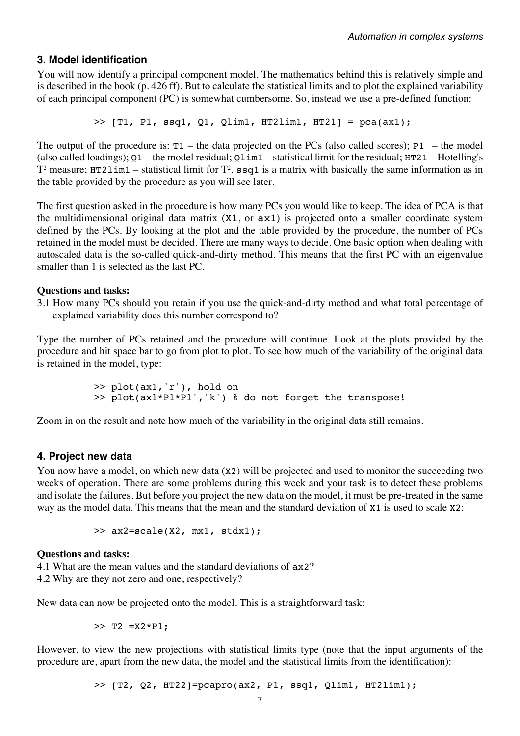### **3. Model identification**

You will now identify a principal component model. The mathematics behind this is relatively simple and is described in the book (p. 426 ff). But to calculate the statistical limits and to plot the explained variability of each principal component (PC) is somewhat cumbersome. So, instead we use a pre-defined function:

 $\gg$  [T1, P1, ssq1, Q1, Qlim1, HT2lim1, HT21] = pca(ax1);

The output of the procedure is:  $T1$  – the data projected on the PCs (also called scores); P1 – the model (also called loadings);  $Q1$  – the model residual;  $Q1$  im<sub>1</sub> – statistical limit for the residual;  $HT21$  – Hotelling's  $T^2$  measure; HT21im1 – statistical limit for  $T^2$ .  $\text{ssq1}$  is a matrix with basically the same information as in the table provided by the procedure as you will see later.

The first question asked in the procedure is how many PCs you would like to keep. The idea of PCA is that the multidimensional original data matrix (X1, or ax1) is projected onto a smaller coordinate system defined by the PCs. By looking at the plot and the table provided by the procedure, the number of PCs retained in the model must be decided. There are many ways to decide. One basic option when dealing with autoscaled data is the so-called quick-and-dirty method. This means that the first PC with an eigenvalue smaller than 1 is selected as the last PC.

#### **Questions and tasks:**

3.1 How many PCs should you retain if you use the quick-and-dirty method and what total percentage of explained variability does this number correspond to?

Type the number of PCs retained and the procedure will continue. Look at the plots provided by the procedure and hit space bar to go from plot to plot. To see how much of the variability of the original data is retained in the model, type:

> >> plot(ax1,'r'), hold on >> plot(ax1\*P1\*P1','k') % do not forget the transpose!

Zoom in on the result and note how much of the variability in the original data still remains.

#### **4. Project new data**

You now have a model, on which new data (X2) will be projected and used to monitor the succeeding two weeks of operation. There are some problems during this week and your task is to detect these problems and isolate the failures. But before you project the new data on the model, it must be pre-treated in the same way as the model data. This means that the mean and the standard deviation of X1 is used to scale X2:

>> ax2=scale(X2, mx1, stdx1);

#### **Questions and tasks:**

4.1 What are the mean values and the standard deviations of ax2? 4.2 Why are they not zero and one, respectively?

New data can now be projected onto the model. This is a straightforward task:

 $>>$  T2 =X2 \*P1:

However, to view the new projections with statistical limits type (note that the input arguments of the procedure are, apart from the new data, the model and the statistical limits from the identification):

>> [T2, Q2, HT22]=pcapro(ax2, P1, ssq1, Qlim1, HT2lim1);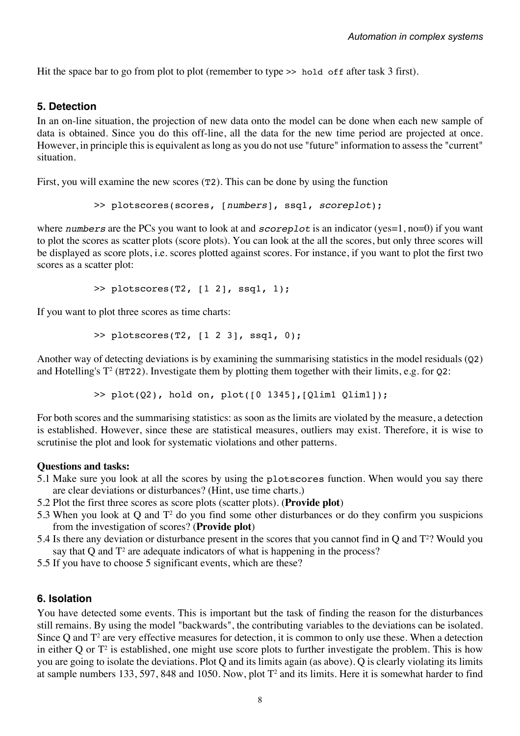Hit the space bar to go from plot to plot (remember to type >> hold off after task 3 first).

### **5. Detection**

In an on-line situation, the projection of new data onto the model can be done when each new sample of data is obtained. Since you do this off-line, all the data for the new time period are projected at once. However, in principle this is equivalent as long as you do not use "future" information to assess the "current" situation.

First, you will examine the new scores (T2). This can be done by using the function

```
>> plotscores(scores, [numbers], ssq1, scoreplot);
```
where *numbers* are the PCs you want to look at and *scoreplot* is an indicator (yes=1, no=0) if you want to plot the scores as scatter plots (score plots). You can look at the all the scores, but only three scores will be displayed as score plots, i.e. scores plotted against scores. For instance, if you want to plot the first two scores as a scatter plot:

 $>$  plotscores(T2, [1 2], ssq1, 1);

If you want to plot three scores as time charts:

 $>$  plotscores(T2, [1 2 3], ssq1, 0);

Another way of detecting deviations is by examining the summarising statistics in the model residuals (Q2) and Hotelling's  $T^2$  (HT22). Investigate them by plotting them together with their limits, e.g. for 02:

>> plot(Q2), hold on, plot([0 1345],[Qlim1 Qlim1]);

For both scores and the summarising statistics: as soon as the limits are violated by the measure, a detection is established. However, since these are statistical measures, outliers may exist. Therefore, it is wise to scrutinise the plot and look for systematic violations and other patterns.

#### **Questions and tasks:**

- 5.1 Make sure you look at all the scores by using the plotscores function. When would you say there are clear deviations or disturbances? (Hint, use time charts.)
- 5.2 Plot the first three scores as score plots (scatter plots). (**Provide plot**)
- 5.3 When you look at Q and T2 do you find some other disturbances or do they confirm you suspicions from the investigation of scores? (**Provide plot**)
- 5.4 Is there any deviation or disturbance present in the scores that you cannot find in Q and T<sup>2</sup>? Would you say that  $Q$  and  $T^2$  are adequate indicators of what is happening in the process?
- 5.5 If you have to choose 5 significant events, which are these?

#### **6. Isolation**

You have detected some events. This is important but the task of finding the reason for the disturbances still remains. By using the model "backwards", the contributing variables to the deviations can be isolated. Since Q and  $T^2$  are very effective measures for detection, it is common to only use these. When a detection in either Q or  $T^2$  is established, one might use score plots to further investigate the problem. This is how you are going to isolate the deviations. Plot Q and its limits again (as above). Q is clearly violating its limits at sample numbers 133, 597, 848 and 1050. Now, plot  $T^2$  and its limits. Here it is somewhat harder to find